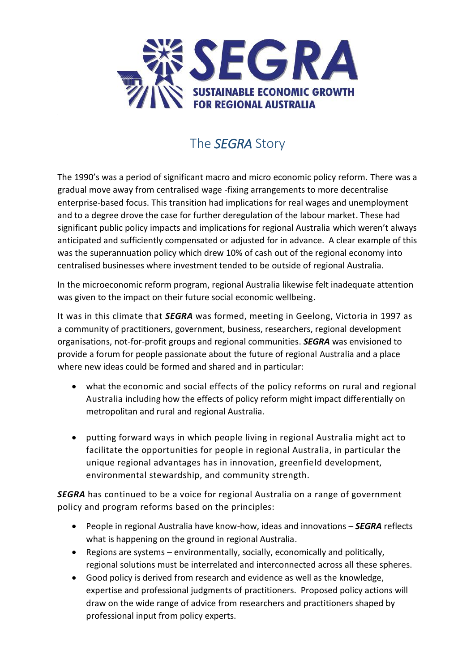

## The *SEGRA* Story

The 1990's was a period of significant macro and micro economic policy reform. There was a gradual move away from centralised wage -fixing arrangements to more decentralise enterprise-based focus. This transition had implications for real wages and unemployment and to a degree drove the case for further deregulation of the labour market. These had significant public policy impacts and implications for regional Australia which weren't always anticipated and sufficiently compensated or adjusted for in advance. A clear example of this was the superannuation policy which drew 10% of cash out of the regional economy into centralised businesses where investment tended to be outside of regional Australia.

In the microeconomic reform program, regional Australia likewise felt inadequate attention was given to the impact on their future social economic wellbeing.

It was in this climate that *SEGRA* was formed, meeting in Geelong, Victoria in 1997 as a community of practitioners, government, business, researchers, regional development organisations, not-for-profit groups and regional communities. *SEGRA* was envisioned to provide a forum for people passionate about the future of regional Australia and a place where new ideas could be formed and shared and in particular:

- what the economic and social effects of the policy reforms on rural and regional Australia including how the effects of policy reform might impact differentially on metropolitan and rural and regional Australia.
- putting forward ways in which people living in regional Australia might act to facilitate the opportunities for people in regional Australia, in particular the unique regional advantages has in innovation, greenfield development, environmental stewardship, and community strength.

*SEGRA* has continued to be a voice for regional Australia on a range of government policy and program reforms based on the principles:

- People in regional Australia have know-how, ideas and innovations *SEGRA* reflects what is happening on the ground in regional Australia.
- Regions are systems environmentally, socially, economically and politically, regional solutions must be interrelated and interconnected across all these spheres.
- Good policy is derived from research and evidence as well as the knowledge, expertise and professional judgments of practitioners. Proposed policy actions will draw on the wide range of advice from researchers and practitioners shaped by professional input from policy experts.